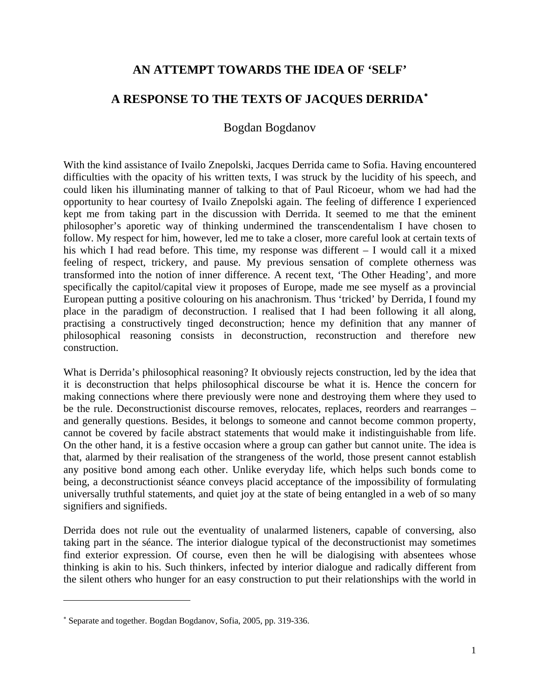## **AN ATTEMPT TOWARDS THE IDEA OF 'SELF'**

## **A RESPONSE TO THE TEXTS OF JACQUES DERRIDA**[∗](#page-0-0)

## Bogdan Bogdanov

With the kind assistance of Ivailo Znepolski, Jacques Derrida came to Sofia. Having encountered difficulties with the opacity of his written texts, I was struck by the lucidity of his speech, and could liken his illuminating manner of talking to that of Paul Ricoeur, whom we had had the opportunity to hear courtesy of Ivailo Znepolski again. The feeling of difference I experienced kept me from taking part in the discussion with Derrida. It seemed to me that the eminent philosopher's aporetic way of thinking undermined the transcendentalism I have chosen to follow. My respect for him, however, led me to take a closer, more careful look at certain texts of his which I had read before. This time, my response was different – I would call it a mixed feeling of respect, trickery, and pause. My previous sensation of complete otherness was transformed into the notion of inner difference. A recent text, 'The Other Heading', and more specifically the capitol/capital view it proposes of Europe, made me see myself as a provincial European putting a positive colouring on his anachronism. Thus 'tricked' by Derrida, I found my place in the paradigm of deconstruction. I realised that I had been following it all along, practising a constructively tinged deconstruction; hence my definition that any manner of philosophical reasoning consists in deconstruction, reconstruction and therefore new construction.

What is Derrida's philosophical reasoning? It obviously rejects construction, led by the idea that it is deconstruction that helps philosophical discourse be what it is. Hence the concern for making connections where there previously were none and destroying them where they used to be the rule. Deconstructionist discourse removes, relocates, replaces, reorders and rearranges – and generally questions. Besides, it belongs to someone and cannot become common property, cannot be covered by facile abstract statements that would make it indistinguishable from life. On the other hand, it is a festive occasion where a group can gather but cannot unite. The idea is that, alarmed by their realisation of the strangeness of the world, those present cannot establish any positive bond among each other. Unlike everyday life, which helps such bonds come to being, a deconstructionist séance conveys placid acceptance of the impossibility of formulating universally truthful statements, and quiet joy at the state of being entangled in a web of so many signifiers and signifieds.

Derrida does not rule out the eventuality of unalarmed listeners, capable of conversing, also taking part in the séance. The interior dialogue typical of the deconstructionist may sometimes find exterior expression. Of course, even then he will be dialogising with absentees whose thinking is akin to his. Such thinkers, infected by interior dialogue and radically different from the silent others who hunger for an easy construction to put their relationships with the world in

<span id="page-0-0"></span><sup>∗</sup> Separate and together. Bogdan Bogdanov, Sofia, 2005, pp. 319-336.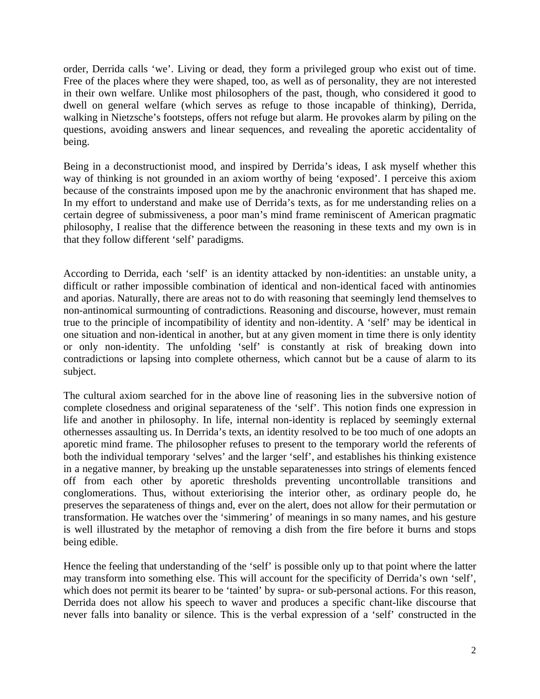order, Derrida calls 'we'. Living or dead, they form a privileged group who exist out of time. Free of the places where they were shaped, too, as well as of personality, they are not interested in their own welfare. Unlike most philosophers of the past, though, who considered it good to dwell on general welfare (which serves as refuge to those incapable of thinking), Derrida, walking in Nietzsche's footsteps, offers not refuge but alarm. He provokes alarm by piling on the questions, avoiding answers and linear sequences, and revealing the aporetic accidentality of being.

Being in a deconstructionist mood, and inspired by Derrida's ideas, I ask myself whether this way of thinking is not grounded in an axiom worthy of being 'exposed'. I perceive this axiom because of the constraints imposed upon me by the anachronic environment that has shaped me. In my effort to understand and make use of Derrida's texts, as for me understanding relies on a certain degree of submissiveness, a poor man's mind frame reminiscent of American pragmatic philosophy, I realise that the difference between the reasoning in these texts and my own is in that they follow different 'self' paradigms.

According to Derrida, each 'self' is an identity attacked by non-identities: an unstable unity, a difficult or rather impossible combination of identical and non-identical faced with antinomies and aporias. Naturally, there are areas not to do with reasoning that seemingly lend themselves to non-antinomical surmounting of contradictions. Reasoning and discourse, however, must remain true to the principle of incompatibility of identity and non-identity. A 'self' may be identical in one situation and non-identical in another, but at any given moment in time there is only identity or only non-identity. The unfolding 'self' is constantly at risk of breaking down into contradictions or lapsing into complete otherness, which cannot but be a cause of alarm to its subject.

The cultural axiom searched for in the above line of reasoning lies in the subversive notion of complete closedness and original separateness of the 'self'. This notion finds one expression in life and another in philosophy. In life, internal non-identity is replaced by seemingly external othernesses assaulting us. In Derrida's texts, an identity resolved to be too much of one adopts an aporetic mind frame. The philosopher refuses to present to the temporary world the referents of both the individual temporary 'selves' and the larger 'self', and establishes his thinking existence in a negative manner, by breaking up the unstable separatenesses into strings of elements fenced off from each other by aporetic thresholds preventing uncontrollable transitions and conglomerations. Thus, without exteriorising the interior other, as ordinary people do, he preserves the separateness of things and, ever on the alert, does not allow for their permutation or transformation. He watches over the 'simmering' of meanings in so many names, and his gesture is well illustrated by the metaphor of removing a dish from the fire before it burns and stops being edible.

Hence the feeling that understanding of the 'self' is possible only up to that point where the latter may transform into something else. This will account for the specificity of Derrida's own 'self', which does not permit its bearer to be 'tainted' by supra- or sub-personal actions. For this reason, Derrida does not allow his speech to waver and produces a specific chant-like discourse that never falls into banality or silence. This is the verbal expression of a 'self' constructed in the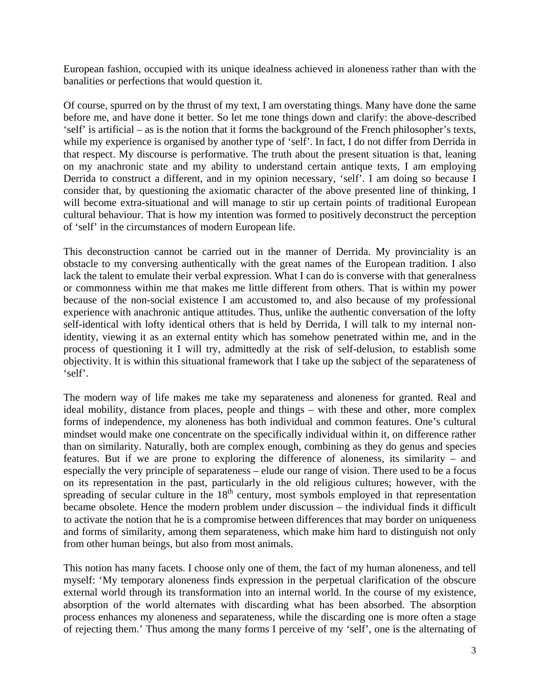European fashion, occupied with its unique idealness achieved in aloneness rather than with the banalities or perfections that would question it.

Of course, spurred on by the thrust of my text, I am overstating things. Many have done the same before me, and have done it better. So let me tone things down and clarify: the above-described 'self' is artificial – as is the notion that it forms the background of the French philosopher's texts, while my experience is organised by another type of 'self'. In fact, I do not differ from Derrida in that respect. My discourse is performative. The truth about the present situation is that, leaning on my anachronic state and my ability to understand certain antique texts, I am employing Derrida to construct a different, and in my opinion necessary, 'self'. I am doing so because I consider that, by questioning the axiomatic character of the above presented line of thinking, I will become extra-situational and will manage to stir up certain points of traditional European cultural behaviour. That is how my intention was formed to positively deconstruct the perception of 'self' in the circumstances of modern European life.

This deconstruction cannot be carried out in the manner of Derrida. My provinciality is an obstacle to my conversing authentically with the great names of the European tradition. I also lack the talent to emulate their verbal expression. What I can do is converse with that generalness or commonness within me that makes me little different from others. That is within my power because of the non-social existence I am accustomed to, and also because of my professional experience with anachronic antique attitudes. Thus, unlike the authentic conversation of the lofty self-identical with lofty identical others that is held by Derrida, I will talk to my internal nonidentity, viewing it as an external entity which has somehow penetrated within me, and in the process of questioning it I will try, admittedly at the risk of self-delusion, to establish some objectivity. It is within this situational framework that I take up the subject of the separateness of 'self'.

The modern way of life makes me take my separateness and aloneness for granted. Real and ideal mobility, distance from places, people and things – with these and other, more complex forms of independence, my aloneness has both individual and common features. One's cultural mindset would make one concentrate on the specifically individual within it, on difference rather than on similarity. Naturally, both are complex enough, combining as they do genus and species features. But if we are prone to exploring the difference of aloneness, its similarity – and especially the very principle of separateness – elude our range of vision. There used to be a focus on its representation in the past, particularly in the old religious cultures; however, with the spreading of secular culture in the  $18<sup>th</sup>$  century, most symbols employed in that representation became obsolete. Hence the modern problem under discussion – the individual finds it difficult to activate the notion that he is a compromise between differences that may border on uniqueness and forms of similarity, among them separateness, which make him hard to distinguish not only from other human beings, but also from most animals.

This notion has many facets. I choose only one of them, the fact of my human aloneness, and tell myself: 'My temporary aloneness finds expression in the perpetual clarification of the obscure external world through its transformation into an internal world. In the course of my existence, absorption of the world alternates with discarding what has been absorbed. The absorption process enhances my aloneness and separateness, while the discarding one is more often a stage of rejecting them.' Thus among the many forms I perceive of my 'self', one is the alternating of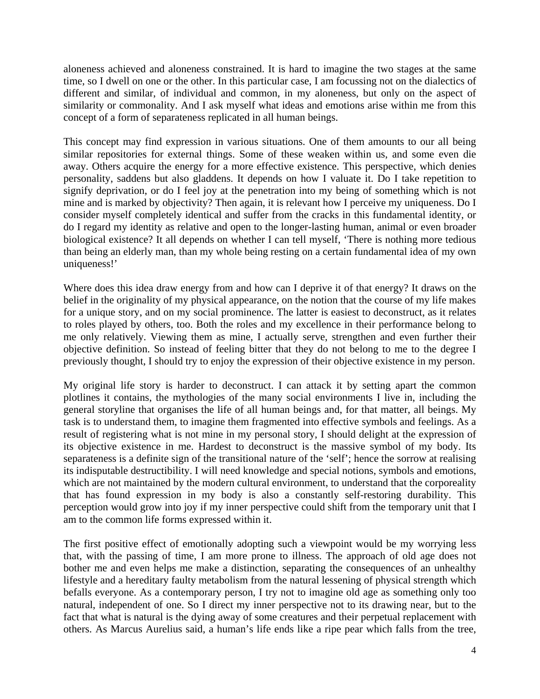aloneness achieved and aloneness constrained. It is hard to imagine the two stages at the same time, so I dwell on one or the other. In this particular case, I am focussing not on the dialectics of different and similar, of individual and common, in my aloneness, but only on the aspect of similarity or commonality. And I ask myself what ideas and emotions arise within me from this concept of a form of separateness replicated in all human beings.

This concept may find expression in various situations. One of them amounts to our all being similar repositories for external things. Some of these weaken within us, and some even die away. Others acquire the energy for a more effective existence. This perspective, which denies personality, saddens but also gladdens. It depends on how I valuate it. Do I take repetition to signify deprivation, or do I feel joy at the penetration into my being of something which is not mine and is marked by objectivity? Then again, it is relevant how I perceive my uniqueness. Do I consider myself completely identical and suffer from the cracks in this fundamental identity, or do I regard my identity as relative and open to the longer-lasting human, animal or even broader biological existence? It all depends on whether I can tell myself, 'There is nothing more tedious than being an elderly man, than my whole being resting on a certain fundamental idea of my own uniqueness!'

Where does this idea draw energy from and how can I deprive it of that energy? It draws on the belief in the originality of my physical appearance, on the notion that the course of my life makes for a unique story, and on my social prominence. The latter is easiest to deconstruct, as it relates to roles played by others, too. Both the roles and my excellence in their performance belong to me only relatively. Viewing them as mine, I actually serve, strengthen and even further their objective definition. So instead of feeling bitter that they do not belong to me to the degree I previously thought, I should try to enjoy the expression of their objective existence in my person.

My original life story is harder to deconstruct. I can attack it by setting apart the common plotlines it contains, the mythologies of the many social environments I live in, including the general storyline that organises the life of all human beings and, for that matter, all beings. My task is to understand them, to imagine them fragmented into effective symbols and feelings. As a result of registering what is not mine in my personal story, I should delight at the expression of its objective existence in me. Hardest to deconstruct is the massive symbol of my body. Its separateness is a definite sign of the transitional nature of the 'self'; hence the sorrow at realising its indisputable destructibility. I will need knowledge and special notions, symbols and emotions, which are not maintained by the modern cultural environment, to understand that the corporeality that has found expression in my body is also a constantly self-restoring durability. This perception would grow into joy if my inner perspective could shift from the temporary unit that I am to the common life forms expressed within it.

The first positive effect of emotionally adopting such a viewpoint would be my worrying less that, with the passing of time, I am more prone to illness. The approach of old age does not bother me and even helps me make a distinction, separating the consequences of an unhealthy lifestyle and a hereditary faulty metabolism from the natural lessening of physical strength which befalls everyone. As a contemporary person, I try not to imagine old age as something only too natural, independent of one. So I direct my inner perspective not to its drawing near, but to the fact that what is natural is the dying away of some creatures and their perpetual replacement with others. As Marcus Aurelius said, a human's life ends like a ripe pear which falls from the tree,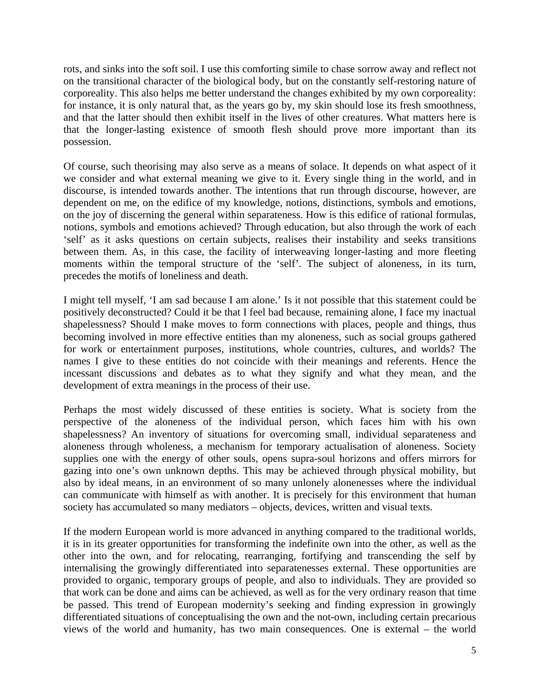rots, and sinks into the soft soil. I use this comforting simile to chase sorrow away and reflect not on the transitional character of the biological body, but on the constantly self-restoring nature of corporeality. This also helps me better understand the changes exhibited by my own corporeality: for instance, it is only natural that, as the years go by, my skin should lose its fresh smoothness, and that the latter should then exhibit itself in the lives of other creatures. What matters here is that the longer-lasting existence of smooth flesh should prove more important than its possession.

Of course, such theorising may also serve as a means of solace. It depends on what aspect of it we consider and what external meaning we give to it. Every single thing in the world, and in discourse, is intended towards another. The intentions that run through discourse, however, are dependent on me, on the edifice of my knowledge, notions, distinctions, symbols and emotions, on the joy of discerning the general within separateness. How is this edifice of rational formulas, notions, symbols and emotions achieved? Through education, but also through the work of each 'self' as it asks questions on certain subjects, realises their instability and seeks transitions between them. As, in this case, the facility of interweaving longer-lasting and more fleeting moments within the temporal structure of the 'self'. The subject of aloneness, in its turn, precedes the motifs of loneliness and death.

I might tell myself, 'I am sad because I am alone.' Is it not possible that this statement could be positively deconstructed? Could it be that I feel bad because, remaining alone, I face my inactual shapelessness? Should I make moves to form connections with places, people and things, thus becoming involved in more effective entities than my aloneness, such as social groups gathered for work or entertainment purposes, institutions, whole countries, cultures, and worlds? The names I give to these entities do not coincide with their meanings and referents. Hence the incessant discussions and debates as to what they signify and what they mean, and the development of extra meanings in the process of their use.

Perhaps the most widely discussed of these entities is society. What is society from the perspective of the aloneness of the individual person, which faces him with his own shapelessness? An inventory of situations for overcoming small, individual separateness and aloneness through wholeness, a mechanism for temporary actualisation of aloneness. Society supplies one with the energy of other souls, opens supra-soul horizons and offers mirrors for gazing into one's own unknown depths. This may be achieved through physical mobility, but also by ideal means, in an environment of so many unlonely alonenesses where the individual can communicate with himself as with another. It is precisely for this environment that human society has accumulated so many mediators – objects, devices, written and visual texts.

If the modern European world is more advanced in anything compared to the traditional worlds, it is in its greater opportunities for transforming the indefinite own into the other, as well as the other into the own, and for relocating, rearranging, fortifying and transcending the self by internalising the growingly differentiated into separatenesses external. These opportunities are provided to organic, temporary groups of people, and also to individuals. They are provided so that work can be done and aims can be achieved, as well as for the very ordinary reason that time be passed. This trend of European modernity's seeking and finding expression in growingly differentiated situations of conceptualising the own and the not-own, including certain precarious views of the world and humanity, has two main consequences. One is external – the world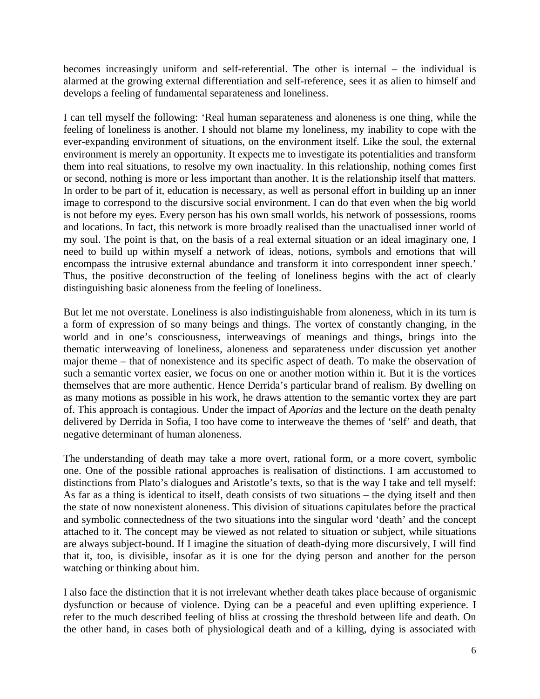becomes increasingly uniform and self-referential. The other is internal – the individual is alarmed at the growing external differentiation and self-reference, sees it as alien to himself and develops a feeling of fundamental separateness and loneliness.

I can tell myself the following: 'Real human separateness and aloneness is one thing, while the feeling of loneliness is another. I should not blame my loneliness, my inability to cope with the ever-expanding environment of situations, on the environment itself. Like the soul, the external environment is merely an opportunity. It expects me to investigate its potentialities and transform them into real situations, to resolve my own inactuality. In this relationship, nothing comes first or second, nothing is more or less important than another. It is the relationship itself that matters. In order to be part of it, education is necessary, as well as personal effort in building up an inner image to correspond to the discursive social environment. I can do that even when the big world is not before my eyes. Every person has his own small worlds, his network of possessions, rooms and locations. In fact, this network is more broadly realised than the unactualised inner world of my soul. The point is that, on the basis of a real external situation or an ideal imaginary one, I need to build up within myself a network of ideas, notions, symbols and emotions that will encompass the intrusive external abundance and transform it into correspondent inner speech.' Thus, the positive deconstruction of the feeling of loneliness begins with the act of clearly distinguishing basic aloneness from the feeling of loneliness.

But let me not overstate. Loneliness is also indistinguishable from aloneness, which in its turn is a form of expression of so many beings and things. The vortex of constantly changing, in the world and in one's consciousness, interweavings of meanings and things, brings into the thematic interweaving of loneliness, aloneness and separateness under discussion yet another major theme – that of nonexistence and its specific aspect of death. To make the observation of such a semantic vortex easier, we focus on one or another motion within it. But it is the vortices themselves that are more authentic. Hence Derrida's particular brand of realism. By dwelling on as many motions as possible in his work, he draws attention to the semantic vortex they are part of. This approach is contagious. Under the impact of *Aporias* and the lecture on the death penalty delivered by Derrida in Sofia, I too have come to interweave the themes of 'self' and death, that negative determinant of human aloneness.

The understanding of death may take a more overt, rational form, or a more covert, symbolic one. One of the possible rational approaches is realisation of distinctions. I am accustomed to distinctions from Plato's dialogues and Aristotle's texts, so that is the way I take and tell myself: As far as a thing is identical to itself, death consists of two situations – the dying itself and then the state of now nonexistent aloneness. This division of situations capitulates before the practical and symbolic connectedness of the two situations into the singular word 'death' and the concept attached to it. The concept may be viewed as not related to situation or subject, while situations are always subject-bound. If I imagine the situation of death-dying more discursively, I will find that it, too, is divisible, insofar as it is one for the dying person and another for the person watching or thinking about him.

I also face the distinction that it is not irrelevant whether death takes place because of organismic dysfunction or because of violence. Dying can be a peaceful and even uplifting experience. I refer to the much described feeling of bliss at crossing the threshold between life and death. On the other hand, in cases both of physiological death and of a killing, dying is associated with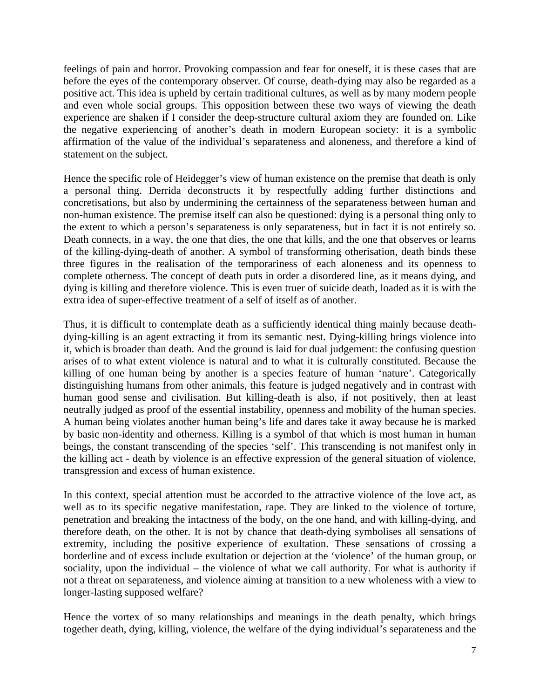feelings of pain and horror. Provoking compassion and fear for oneself, it is these cases that are before the eyes of the contemporary observer. Of course, death-dying may also be regarded as a positive act. This idea is upheld by certain traditional cultures, as well as by many modern people and even whole social groups. This opposition between these two ways of viewing the death experience are shaken if I consider the deep-structure cultural axiom they are founded on. Like the negative experiencing of another's death in modern European society: it is a symbolic affirmation of the value of the individual's separateness and aloneness, and therefore a kind of statement on the subject.

Hence the specific role of Heidegger's view of human existence on the premise that death is only a personal thing. Derrida deconstructs it by respectfully adding further distinctions and concretisations, but also by undermining the certainness of the separateness between human and non-human existence. The premise itself can also be questioned: dying is a personal thing only to the extent to which a person's separateness is only separateness, but in fact it is not entirely so. Death connects, in a way, the one that dies, the one that kills, and the one that observes or learns of the killing-dying-death of another. A symbol of transforming otherisation, death binds these three figures in the realisation of the temporariness of each aloneness and its openness to complete otherness. The concept of death puts in order a disordered line, as it means dying, and dying is killing and therefore violence. This is even truer of suicide death, loaded as it is with the extra idea of super-effective treatment of a self of itself as of another.

Thus, it is difficult to contemplate death as a sufficiently identical thing mainly because deathdying-killing is an agent extracting it from its semantic nest. Dying-killing brings violence into it, which is broader than death. And the ground is laid for dual judgement: the confusing question arises of to what extent violence is natural and to what it is culturally constituted. Because the killing of one human being by another is a species feature of human 'nature'. Categorically distinguishing humans from other animals, this feature is judged negatively and in contrast with human good sense and civilisation. But killing-death is also, if not positively, then at least neutrally judged as proof of the essential instability, openness and mobility of the human species. A human being violates another human being's life and dares take it away because he is marked by basic non-identity and otherness. Killing is a symbol of that which is most human in human beings, the constant transcending of the species 'self'. This transcending is not manifest only in the killing act - death by violence is an effective expression of the general situation of violence, transgression and excess of human existence.

In this context, special attention must be accorded to the attractive violence of the love act, as well as to its specific negative manifestation, rape. They are linked to the violence of torture, penetration and breaking the intactness of the body, on the one hand, and with killing-dying, and therefore death, on the other. It is not by chance that death-dying symbolises all sensations of extremity, including the positive experience of exultation. These sensations of crossing a borderline and of excess include exultation or dejection at the 'violence' of the human group, or sociality, upon the individual – the violence of what we call authority. For what is authority if not a threat on separateness, and violence aiming at transition to a new wholeness with a view to longer-lasting supposed welfare?

Hence the vortex of so many relationships and meanings in the death penalty, which brings together death, dying, killing, violence, the welfare of the dying individual's separateness and the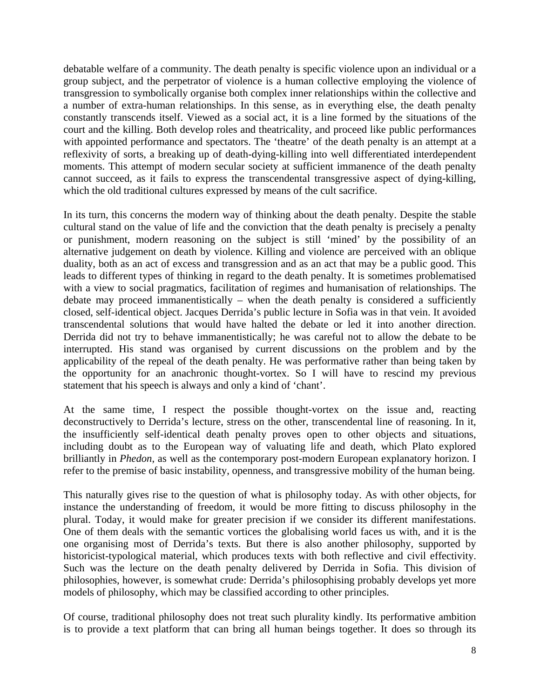debatable welfare of a community. The death penalty is specific violence upon an individual or a group subject, and the perpetrator of violence is a human collective employing the violence of transgression to symbolically organise both complex inner relationships within the collective and a number of extra-human relationships. In this sense, as in everything else, the death penalty constantly transcends itself. Viewed as a social act, it is a line formed by the situations of the court and the killing. Both develop roles and theatricality, and proceed like public performances with appointed performance and spectators. The 'theatre' of the death penalty is an attempt at a reflexivity of sorts, a breaking up of death-dying-killing into well differentiated interdependent moments. This attempt of modern secular society at sufficient immanence of the death penalty cannot succeed, as it fails to express the transcendental transgressive aspect of dying-killing, which the old traditional cultures expressed by means of the cult sacrifice.

In its turn, this concerns the modern way of thinking about the death penalty. Despite the stable cultural stand on the value of life and the conviction that the death penalty is precisely a penalty or punishment, modern reasoning on the subject is still 'mined' by the possibility of an alternative judgement on death by violence. Killing and violence are perceived with an oblique duality, both as an act of excess and transgression and as an act that may be a public good. This leads to different types of thinking in regard to the death penalty. It is sometimes problematised with a view to social pragmatics, facilitation of regimes and humanisation of relationships. The debate may proceed immanentistically – when the death penalty is considered a sufficiently closed, self-identical object. Jacques Derrida's public lecture in Sofia was in that vein. It avoided transcendental solutions that would have halted the debate or led it into another direction. Derrida did not try to behave immanentistically; he was careful not to allow the debate to be interrupted. His stand was organised by current discussions on the problem and by the applicability of the repeal of the death penalty. He was performative rather than being taken by the opportunity for an anachronic thought-vortex. So I will have to rescind my previous statement that his speech is always and only a kind of 'chant'.

At the same time, I respect the possible thought-vortex on the issue and, reacting deconstructively to Derrida's lecture, stress on the other, transcendental line of reasoning. In it, the insufficiently self-identical death penalty proves open to other objects and situations, including doubt as to the European way of valuating life and death, which Plato explored brilliantly in *Phedon*, as well as the contemporary post-modern European explanatory horizon. I refer to the premise of basic instability, openness, and transgressive mobility of the human being.

This naturally gives rise to the question of what is philosophy today. As with other objects, for instance the understanding of freedom, it would be more fitting to discuss philosophy in the plural. Today, it would make for greater precision if we consider its different manifestations. One of them deals with the semantic vortices the globalising world faces us with, and it is the one organising most of Derrida's texts. But there is also another philosophy, supported by historicist-typological material, which produces texts with both reflective and civil effectivity. Such was the lecture on the death penalty delivered by Derrida in Sofia. This division of philosophies, however, is somewhat crude: Derrida's philosophising probably develops yet more models of philosophy, which may be classified according to other principles.

Of course, traditional philosophy does not treat such plurality kindly. Its performative ambition is to provide a text platform that can bring all human beings together. It does so through its